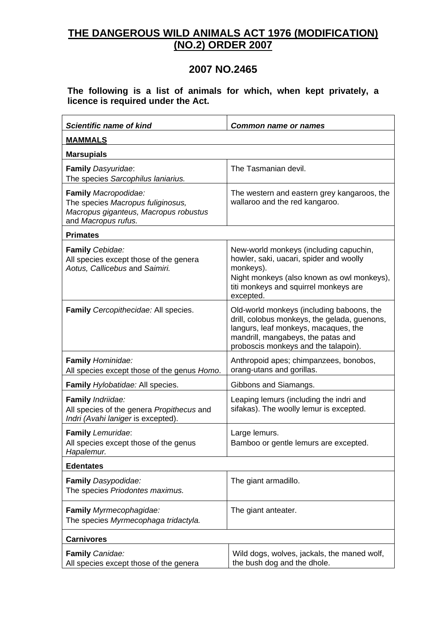## **THE DANGEROUS WILD ANIMALS ACT 1976 (MODIFICATION) (NO.2) ORDER 2007**

## **2007 NO.2465**

**The following is a list of animals for which, when kept privately, a licence is required under the Act.**

| <b>Scientific name of kind</b>                                                                                            | <b>Common name or names</b>                                                                                                                                                                                     |
|---------------------------------------------------------------------------------------------------------------------------|-----------------------------------------------------------------------------------------------------------------------------------------------------------------------------------------------------------------|
| <b>MAMMALS</b>                                                                                                            |                                                                                                                                                                                                                 |
| <b>Marsupials</b>                                                                                                         |                                                                                                                                                                                                                 |
| Family Dasyuridae:<br>The species Sarcophilus laniarius.                                                                  | The Tasmanian devil.                                                                                                                                                                                            |
| Family Macropodidae:<br>The species Macropus fuliginosus,<br>Macropus giganteus, Macropus robustus<br>and Macropus rufus. | The western and eastern grey kangaroos, the<br>wallaroo and the red kangaroo.                                                                                                                                   |
| <b>Primates</b>                                                                                                           |                                                                                                                                                                                                                 |
| Family Cebidae:<br>All species except those of the genera<br>Aotus, Callicebus and Saimiri.                               | New-world monkeys (including capuchin,<br>howler, saki, uacari, spider and woolly<br>monkeys).<br>Night monkeys (also known as owl monkeys),<br>titi monkeys and squirrel monkeys are<br>excepted.              |
| Family Cercopithecidae: All species.                                                                                      | Old-world monkeys (including baboons, the<br>drill, colobus monkeys, the gelada, guenons,<br>langurs, leaf monkeys, macaques, the<br>mandrill, mangabeys, the patas and<br>proboscis monkeys and the talapoin). |
| Family Hominidae:<br>All species except those of the genus Homo.                                                          | Anthropoid apes; chimpanzees, bonobos,<br>orang-utans and gorillas.                                                                                                                                             |
| Family Hylobatidae: All species.                                                                                          | Gibbons and Siamangs.                                                                                                                                                                                           |
| Family Indriidae:<br>All species of the genera Propithecus and<br>Indri (Avahi laniger is excepted).                      | Leaping lemurs (including the indri and<br>sifakas). The woolly lemur is excepted.                                                                                                                              |
| Family Lemuridae:<br>All species except those of the genus<br>Hapalemur.                                                  | Large lemurs.<br>Bamboo or gentle lemurs are excepted.                                                                                                                                                          |
| <b>Edentates</b>                                                                                                          |                                                                                                                                                                                                                 |
| Family Dasypodidae:<br>The species Priodontes maximus.                                                                    | The giant armadillo.                                                                                                                                                                                            |
| Family Myrmecophagidae:<br>The species Myrmecophaga tridactyla.                                                           | The giant anteater.                                                                                                                                                                                             |
| <b>Carnivores</b>                                                                                                         |                                                                                                                                                                                                                 |
| Family Canidae:<br>All species except those of the genera                                                                 | Wild dogs, wolves, jackals, the maned wolf,<br>the bush dog and the dhole.                                                                                                                                      |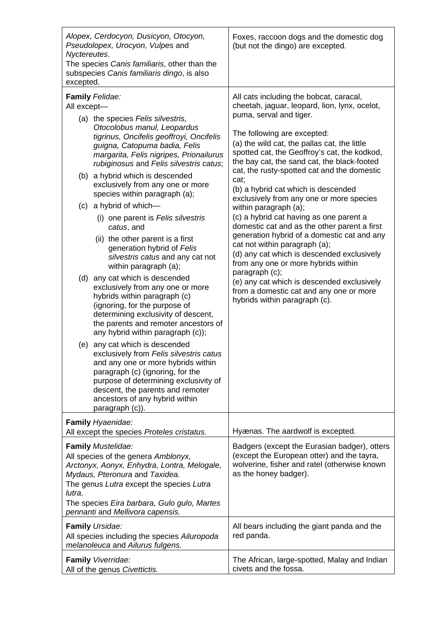| Alopex, Cerdocyon, Dusicyon, Otocyon,<br>Pseudolopex, Urocyon, Vulpes and<br>Nyctereutes.<br>The species Canis familiaris, other than the<br>subspecies Canis familiaris dingo, is also<br>excepted.                                                                                                                                                                                                                                                                                                                                                                                                                                                                                                                                                                                                                                                                                                                                                                                                                                                                                                                                           | Foxes, raccoon dogs and the domestic dog<br>(but not the dingo) are excepted.                                                                                                                                                                                                                                                                                                                                                                                                                                                                                                                                                                                                                                                                                                                                                                                                    |
|------------------------------------------------------------------------------------------------------------------------------------------------------------------------------------------------------------------------------------------------------------------------------------------------------------------------------------------------------------------------------------------------------------------------------------------------------------------------------------------------------------------------------------------------------------------------------------------------------------------------------------------------------------------------------------------------------------------------------------------------------------------------------------------------------------------------------------------------------------------------------------------------------------------------------------------------------------------------------------------------------------------------------------------------------------------------------------------------------------------------------------------------|----------------------------------------------------------------------------------------------------------------------------------------------------------------------------------------------------------------------------------------------------------------------------------------------------------------------------------------------------------------------------------------------------------------------------------------------------------------------------------------------------------------------------------------------------------------------------------------------------------------------------------------------------------------------------------------------------------------------------------------------------------------------------------------------------------------------------------------------------------------------------------|
| Family Felidae:<br>All except-<br>(a) the species Felis silvestris,<br>Otocolobus manul, Leopardus<br>tigrinus, Oncifelis geoffroyi, Oncifelis<br>guigna, Catopuma badia, Felis<br>margarita, Felis nigripes, Prionailurus<br>rubiginosus and Felis silvestris catus;<br>(b) a hybrid which is descended<br>exclusively from any one or more<br>species within paragraph (a);<br>(c) a hybrid of which-<br>(i) one parent is Felis silvestris<br>catus, and<br>(ii) the other parent is a first<br>generation hybrid of Felis<br>silvestris catus and any cat not<br>within paragraph (a);<br>(d) any cat which is descended<br>exclusively from any one or more<br>hybrids within paragraph (c)<br>(ignoring, for the purpose of<br>determining exclusivity of descent,<br>the parents and remoter ancestors of<br>any hybrid within paragraph (c));<br>(e) any cat which is descended<br>exclusively from Felis silvestris catus<br>and any one or more hybrids within<br>paragraph (c) (ignoring, for the<br>purpose of determining exclusivity of<br>descent, the parents and remoter<br>ancestors of any hybrid within<br>paragraph (c)). | All cats including the bobcat, caracal,<br>cheetah, jaguar, leopard, lion, lynx, ocelot,<br>puma, serval and tiger.<br>The following are excepted:<br>(a) the wild cat, the pallas cat, the little<br>spotted cat, the Geoffroy's cat, the kodkod,<br>the bay cat, the sand cat, the black-footed<br>cat, the rusty-spotted cat and the domestic<br>cat;<br>(b) a hybrid cat which is descended<br>exclusively from any one or more species<br>within paragraph (a);<br>(c) a hybrid cat having as one parent a<br>domestic cat and as the other parent a first<br>generation hybrid of a domestic cat and any<br>cat not within paragraph (a);<br>(d) any cat which is descended exclusively<br>from any one or more hybrids within<br>paragraph (c);<br>(e) any cat which is descended exclusively<br>from a domestic cat and any one or more<br>hybrids within paragraph (c). |
| Family Hyaenidae:<br>All except the species Proteles cristatus.                                                                                                                                                                                                                                                                                                                                                                                                                                                                                                                                                                                                                                                                                                                                                                                                                                                                                                                                                                                                                                                                                | Hyænas. The aardwolf is excepted.                                                                                                                                                                                                                                                                                                                                                                                                                                                                                                                                                                                                                                                                                                                                                                                                                                                |
| Family Mustelidae:<br>All species of the genera Amblonyx,<br>Arctonyx, Aonyx, Enhydra, Lontra, Melogale,<br>Mydaus, Pteronura and Taxidea.<br>The genus Lutra except the species Lutra<br>lutra.<br>The species Eira barbara, Gulo gulo, Martes<br>pennanti and Mellivora capensis.                                                                                                                                                                                                                                                                                                                                                                                                                                                                                                                                                                                                                                                                                                                                                                                                                                                            | Badgers (except the Eurasian badger), otters<br>(except the European otter) and the tayra,<br>wolverine, fisher and ratel (otherwise known<br>as the honey badger).                                                                                                                                                                                                                                                                                                                                                                                                                                                                                                                                                                                                                                                                                                              |
| <b>Family Ursidae:</b><br>All species including the species Ailuropoda<br>melanoleuca and Ailurus fulgens.                                                                                                                                                                                                                                                                                                                                                                                                                                                                                                                                                                                                                                                                                                                                                                                                                                                                                                                                                                                                                                     | All bears including the giant panda and the<br>red panda.                                                                                                                                                                                                                                                                                                                                                                                                                                                                                                                                                                                                                                                                                                                                                                                                                        |
| Family Viverridae:<br>All of the genus Civettictis.                                                                                                                                                                                                                                                                                                                                                                                                                                                                                                                                                                                                                                                                                                                                                                                                                                                                                                                                                                                                                                                                                            | The African, large-spotted, Malay and Indian<br>civets and the fossa.                                                                                                                                                                                                                                                                                                                                                                                                                                                                                                                                                                                                                                                                                                                                                                                                            |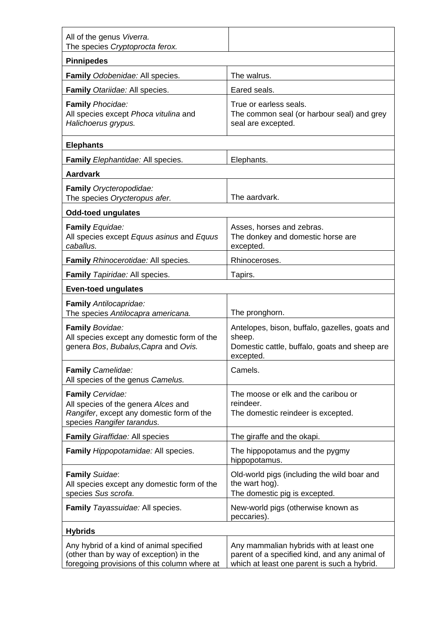| All of the genus Viverra.<br>The species Cryptoprocta ferox.                                                                        |                                                                                                                                         |  |
|-------------------------------------------------------------------------------------------------------------------------------------|-----------------------------------------------------------------------------------------------------------------------------------------|--|
| <b>Pinnipedes</b>                                                                                                                   |                                                                                                                                         |  |
| Family Odobenidae: All species.                                                                                                     | The walrus.                                                                                                                             |  |
| Family Otariidae: All species.                                                                                                      | Eared seals.                                                                                                                            |  |
| <b>Family Phocidae:</b><br>All species except Phoca vitulina and<br>Halichoerus grypus.                                             | True or earless seals.<br>The common seal (or harbour seal) and grey<br>seal are excepted.                                              |  |
| <b>Elephants</b>                                                                                                                    |                                                                                                                                         |  |
| Family Elephantidae: All species.                                                                                                   | Elephants.                                                                                                                              |  |
| <b>Aardvark</b>                                                                                                                     |                                                                                                                                         |  |
| Family Orycteropodidae:<br>The species Orycteropus afer.                                                                            | The aardvark.                                                                                                                           |  |
| <b>Odd-toed ungulates</b>                                                                                                           |                                                                                                                                         |  |
| Family Equidae:<br>All species except Equus asinus and Equus<br>caballus.                                                           | Asses, horses and zebras.<br>The donkey and domestic horse are<br>excepted.                                                             |  |
| Family Rhinocerotidae: All species.                                                                                                 | Rhinoceroses.                                                                                                                           |  |
| Family Tapiridae: All species.                                                                                                      | Tapirs.                                                                                                                                 |  |
| <b>Even-toed ungulates</b>                                                                                                          |                                                                                                                                         |  |
| Family Antilocapridae:<br>The species Antilocapra americana.                                                                        | The pronghorn.                                                                                                                          |  |
| <b>Family Bovidae:</b><br>All species except any domestic form of the<br>genera Bos, Bubalus, Capra and Ovis.                       | Antelopes, bison, buffalo, gazelles, goats and<br>sheep.<br>Domestic cattle, buffalo, goats and sheep are<br>excepted.                  |  |
| Family Camelidae:<br>All species of the genus Camelus.                                                                              | Camels.                                                                                                                                 |  |
| Family Cervidae:<br>All species of the genera Alces and<br>Rangifer, except any domestic form of the<br>species Rangifer tarandus.  | The moose or elk and the caribou or<br>reindeer.<br>The domestic reindeer is excepted.                                                  |  |
| Family Giraffidae: All species                                                                                                      | The giraffe and the okapi.                                                                                                              |  |
| Family Hippopotamidae: All species.                                                                                                 | The hippopotamus and the pygmy<br>hippopotamus.                                                                                         |  |
| <b>Family Suidae:</b><br>All species except any domestic form of the<br>species Sus scrofa.                                         | Old-world pigs (including the wild boar and<br>the wart hog).<br>The domestic pig is excepted.                                          |  |
| Family Tayassuidae: All species.                                                                                                    | New-world pigs (otherwise known as<br>peccaries).                                                                                       |  |
| <b>Hybrids</b>                                                                                                                      |                                                                                                                                         |  |
| Any hybrid of a kind of animal specified<br>(other than by way of exception) in the<br>foregoing provisions of this column where at | Any mammalian hybrids with at least one<br>parent of a specified kind, and any animal of<br>which at least one parent is such a hybrid. |  |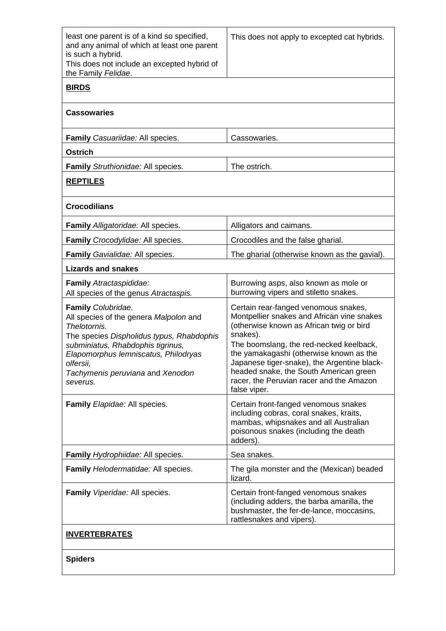| least one parent is of a kind so specified,<br>and any animal of which at least one parent<br>is such a hybrid.<br>This does not include an excepted hybrid of<br>the Family Felidae.                                                                               | This does not apply to excepted cat hybrids.                                                                                                                                                                                                                                                                                                                                          |  |
|---------------------------------------------------------------------------------------------------------------------------------------------------------------------------------------------------------------------------------------------------------------------|---------------------------------------------------------------------------------------------------------------------------------------------------------------------------------------------------------------------------------------------------------------------------------------------------------------------------------------------------------------------------------------|--|
| <b>BIRDS</b>                                                                                                                                                                                                                                                        |                                                                                                                                                                                                                                                                                                                                                                                       |  |
| <b>Cassowaries</b>                                                                                                                                                                                                                                                  |                                                                                                                                                                                                                                                                                                                                                                                       |  |
| Family Casuariidae: All species.                                                                                                                                                                                                                                    | Cassowaries.                                                                                                                                                                                                                                                                                                                                                                          |  |
| <b>Ostrich</b>                                                                                                                                                                                                                                                      |                                                                                                                                                                                                                                                                                                                                                                                       |  |
| Family Struthionidae: All species.                                                                                                                                                                                                                                  | The ostrich.                                                                                                                                                                                                                                                                                                                                                                          |  |
| <b>REPTILES</b>                                                                                                                                                                                                                                                     |                                                                                                                                                                                                                                                                                                                                                                                       |  |
| <b>Crocodilians</b>                                                                                                                                                                                                                                                 |                                                                                                                                                                                                                                                                                                                                                                                       |  |
| Family Alligatoridae: All species.                                                                                                                                                                                                                                  | Alligators and caimans.                                                                                                                                                                                                                                                                                                                                                               |  |
| Family Crocodylidae: All species.                                                                                                                                                                                                                                   | Crocodiles and the false gharial.                                                                                                                                                                                                                                                                                                                                                     |  |
| Family Gavialidae: All species.                                                                                                                                                                                                                                     | The gharial (otherwise known as the gavial).                                                                                                                                                                                                                                                                                                                                          |  |
| <b>Lizards and snakes</b>                                                                                                                                                                                                                                           |                                                                                                                                                                                                                                                                                                                                                                                       |  |
| Family Atractaspididae:<br>All species of the genus Atractaspis.                                                                                                                                                                                                    | Burrowing asps, also known as mole or<br>burrowing vipers and stiletto snakes.                                                                                                                                                                                                                                                                                                        |  |
| Family Colubridae.<br>All species of the genera Malpolon and<br>Thelotornis.<br>The species Dispholidus typus, Rhabdophis<br>subminiatus, Rhabdophis tigrinus,<br>Elapomorphus lemniscatus, Philodryas<br>olfersii,<br>Tachymenis peruviana and Xenodon<br>severus. | Certain rear-fanged venomous snakes,<br>Montpellier snakes and African vine snakes<br>(otherwise known as African twig or bird<br>snakes).<br>The boomslang, the red-necked keelback,<br>the yamakagashi (otherwise known as the<br>Japanese tiger-snake), the Argentine black-<br>headed snake, the South American green<br>racer, the Peruvian racer and the Amazon<br>false viper. |  |
| Family Elapidae: All species.                                                                                                                                                                                                                                       | Certain front-fanged venomous snakes<br>including cobras, coral snakes, kraits,<br>mambas, whipsnakes and all Australian<br>poisonous snakes (including the death<br>adders).                                                                                                                                                                                                         |  |
| Family Hydrophiidae: All species.                                                                                                                                                                                                                                   | Sea snakes.                                                                                                                                                                                                                                                                                                                                                                           |  |
| Family Helodermatidae: All species.                                                                                                                                                                                                                                 | The gila monster and the (Mexican) beaded<br>lizard.                                                                                                                                                                                                                                                                                                                                  |  |
| Family Viperidae: All species.                                                                                                                                                                                                                                      | Certain front-fanged venomous snakes<br>(including adders, the barba amarilla, the<br>bushmaster, the fer-de-lance, moccasins,<br>rattlesnakes and vipers).                                                                                                                                                                                                                           |  |
| <b>INVERTEBRATES</b>                                                                                                                                                                                                                                                |                                                                                                                                                                                                                                                                                                                                                                                       |  |
| <b>Spiders</b>                                                                                                                                                                                                                                                      |                                                                                                                                                                                                                                                                                                                                                                                       |  |